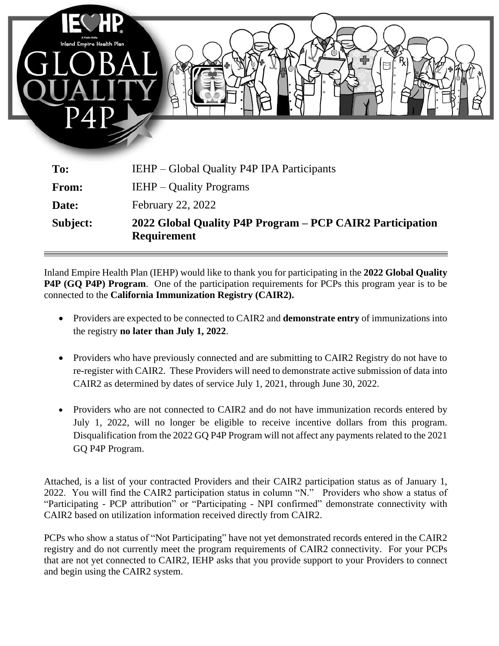

| Subject:     | 2022 Global Quality P4P Program – PCP CAIR2 Participation<br><b>Requirement</b> |
|--------------|---------------------------------------------------------------------------------|
| Date:        | <b>February 22, 2022</b>                                                        |
| <b>From:</b> | <b>IEHP</b> – Quality Programs                                                  |
| <b>TO:</b>   | IEHP – GIODAI QUALITY PAP IPA PARTICIPANTS                                      |

Inland Empire Health Plan (IEHP) would like to thank you for participating in the **2022 Global Quality P4P (GQ P4P) Program**. One of the participation requirements for PCPs this program year is to be connected to the **California Immunization Registry (CAIR2).**

- Providers are expected to be connected to CAIR2 and **demonstrate entry** of immunizations into the registry **no later than July 1, 2022**.
- Providers who have previously connected and are submitting to CAIR2 Registry do not have to re-register with CAIR2. These Providers will need to demonstrate active submission of data into CAIR2 as determined by dates of service July 1, 2021, through June 30, 2022.
- Providers who are not connected to CAIR2 and do not have immunization records entered by July 1, 2022, will no longer be eligible to receive incentive dollars from this program. Disqualification from the 2022 GQ P4P Program will not affect any payments related to the 2021 GQ P4P Program.

Attached, is a list of your contracted Providers and their CAIR2 participation status as of January 1, 2022. You will find the CAIR2 participation status in column "N." Providers who show a status of "Participating - PCP attribution" or "Participating - NPI confirmed" demonstrate connectivity with CAIR2 based on utilization information received directly from CAIR2.

PCPs who show a status of "Not Participating" have not yet demonstrated records entered in the CAIR2 registry and do not currently meet the program requirements of CAIR2 connectivity. For your PCPs that are not yet connected to CAIR2, IEHP asks that you provide support to your Providers to connect and begin using the CAIR2 system.